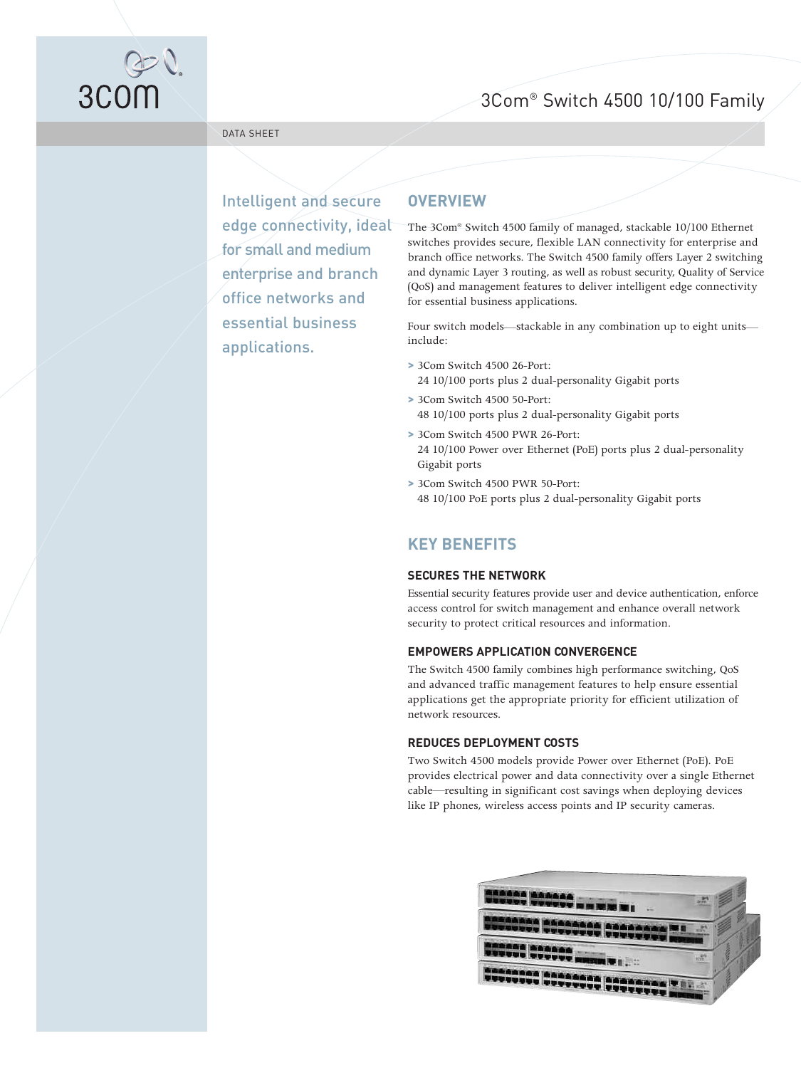## 3Com® Switch 4500 10/100 Family



#### DATA SHEET

Intelligent and secure edge connectivity, ideal for small and medium enterprise and branch office networks and essential business applications.

### **OVERVIEW**

The 3Com® Switch 4500 family of managed, stackable 10/100 Ethernet switches provides secure, flexible LAN connectivity for enterprise and branch office networks. The Switch 4500 family offers Layer 2 switching and dynamic Layer 3 routing, as well as robust security, Quality of Service (QoS) and management features to deliver intelligent edge connectivity for essential business applications.

Four switch models—stackable in any combination up to eight units include:

- **>** 3Com Switch 4500 26-Port: 24 10/100 ports plus 2 dual-personality Gigabit ports
- **>** 3Com Switch 4500 50-Port: 48 10/100 ports plus 2 dual-personality Gigabit ports
- **>** 3Com Switch 4500 PWR 26-Port: 24 10/100 Power over Ethernet (PoE) ports plus 2 dual-personality Gigabit ports
- **>** 3Com Switch 4500 PWR 50-Port: 48 10/100 PoE ports plus 2 dual-personality Gigabit ports

### **KEY BENEFITS**

#### **SECURES THE NETWORK**

Essential security features provide user and device authentication, enforce access control for switch management and enhance overall network security to protect critical resources and information.

#### **EMPOWERS APPLICATION CONVERGENCE**

The Switch 4500 family combines high performance switching, QoS and advanced traffic management features to help ensure essential applications get the appropriate priority for efficient utilization of network resources.

#### **REDUCES DEPLOYMENT COSTS**

Two Switch 4500 models provide Power over Ethernet (PoE). PoE provides electrical power and data connectivity over a single Ethernet cable—resulting in significant cost savings when deploying devices like IP phones, wireless access points and IP security cameras.

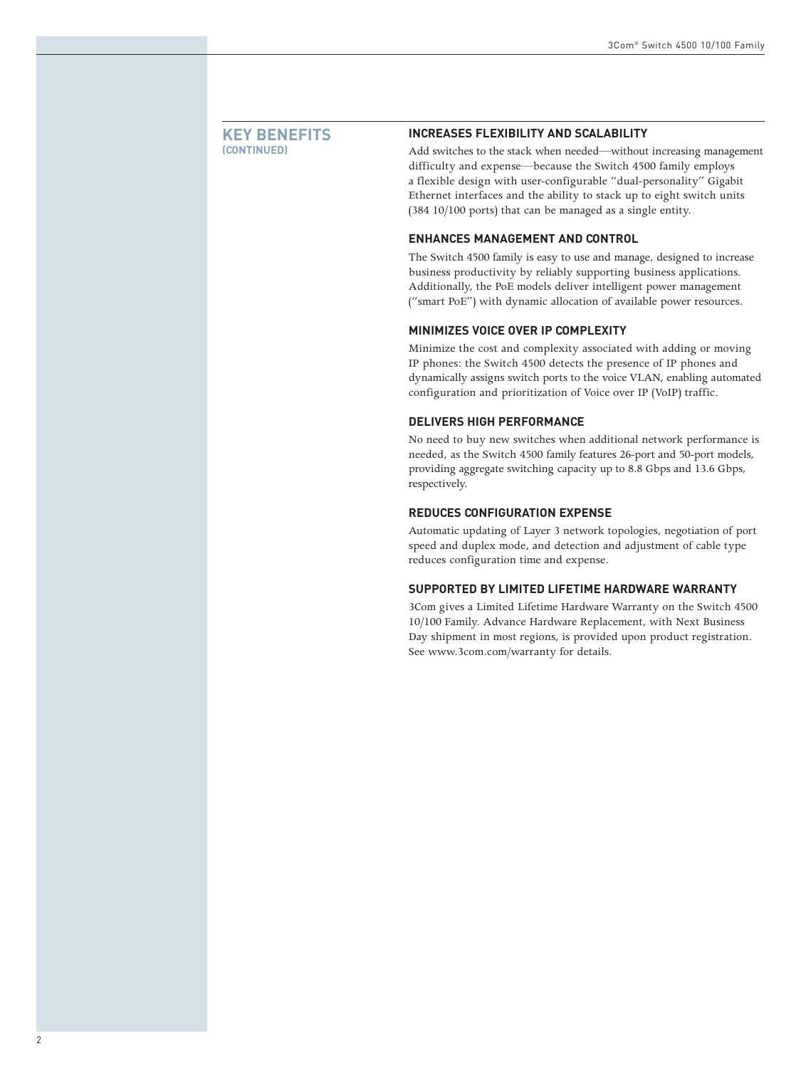#### **KEY BENEFITS (CONTINUED)**

#### **INCREASES FLEXIBILITY AND SCALABILITY**

Add switches to the stack when needed—without increasing management difficulty and expense—because the Switch 4500 family employs a flexible design with user-configurable "dual-personality" Gigabit Ethernet interfaces and the ability to stack up to eight switch units (384 10/100 ports) that can be managed as a single entity.

#### **ENHANCES MANAGEMENT AND CONTROL**

The Switch 4500 family is easy to use and manage, designed to increase business productivity by reliably supporting business applications. Additionally, the PoE models deliver intelligent power management ("smart PoE") with dynamic allocation of available power resources.

#### **MINIMIZES VOICE OVER IP COMPLEXITY**

Minimize the cost and complexity associated with adding or moving IP phones: the Switch 4500 detects the presence of IP phones and dynamically assigns switch ports to the voice VLAN, enabling automated configuration and prioritization of Voice over IP (VoIP) traffic.

#### **DELIVERS HIGH PERFORMANCE**

No need to buy new switches when additional network performance is needed, as the Switch 4500 family features 26-port and 50-port models, providing aggregate switching capacity up to 8.8 Gbps and 13.6 Gbps, respectively.

#### **REDUCES CONFIGURATION EXPENSE**

Automatic updating of Layer 3 network topologies, negotiation of port speed and duplex mode, and detection and adjustment of cable type reduces configuration time and expense.

#### **SUPPORTED BY LIMITED LIFETIME HARDWARE WARRANTY**

3Com gives a Limited Lifetime Hardware Warranty on the Switch 4500 10/100 Family. Advance Hardware Replacement, with Next Business Day shipment in most regions, is provided upon product registration. See<www.3com.com/warranty> for details.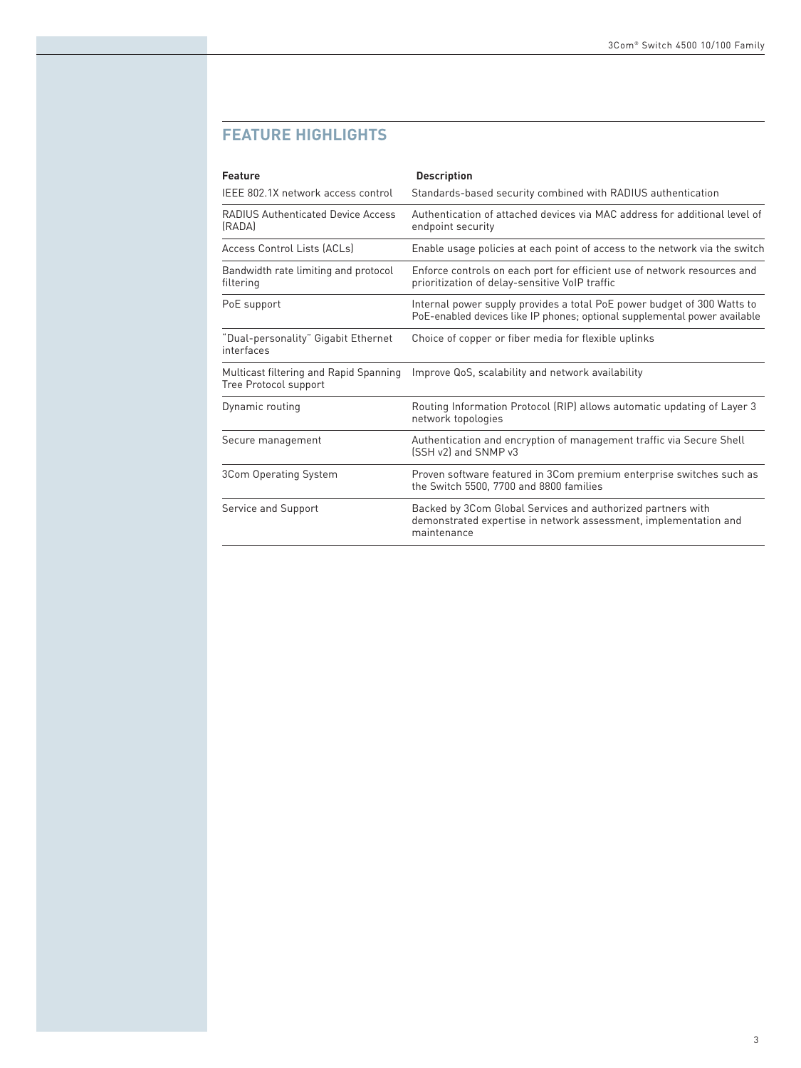### **FEATURE HIGHLIGHTS**

| Feature                                                         | <b>Description</b>                                                                                                                                   |
|-----------------------------------------------------------------|------------------------------------------------------------------------------------------------------------------------------------------------------|
| IEEE 802.1X network access control                              | Standards-based security combined with RADIUS authentication                                                                                         |
| <b>RADIUS Authenticated Device Access</b><br>(RADA)             | Authentication of attached devices via MAC address for additional level of<br>endpoint security                                                      |
| Access Control Lists (ACLs)                                     | Enable usage policies at each point of access to the network via the switch                                                                          |
| Bandwidth rate limiting and protocol<br>filtering               | Enforce controls on each port for efficient use of network resources and<br>prioritization of delay-sensitive VoIP traffic                           |
| PoE support                                                     | Internal power supply provides a total PoE power budget of 300 Watts to<br>PoE-enabled devices like IP phones; optional supplemental power available |
| "Dual-personality" Gigabit Ethernet<br>interfaces               | Choice of copper or fiber media for flexible uplinks                                                                                                 |
| Multicast filtering and Rapid Spanning<br>Tree Protocol support | Improve QoS, scalability and network availability                                                                                                    |
| Dynamic routing                                                 | Routing Information Protocol (RIP) allows automatic updating of Layer 3<br>network topologies                                                        |
| Secure management                                               | Authentication and encryption of management traffic via Secure Shell<br>[SSH v2] and SNMP v3                                                         |
| 3Com Operating System                                           | Proven software featured in 3Com premium enterprise switches such as<br>the Switch 5500, 7700 and 8800 families                                      |
| Service and Support                                             | Backed by 3Com Global Services and authorized partners with<br>demonstrated expertise in network assessment, implementation and<br>maintenance       |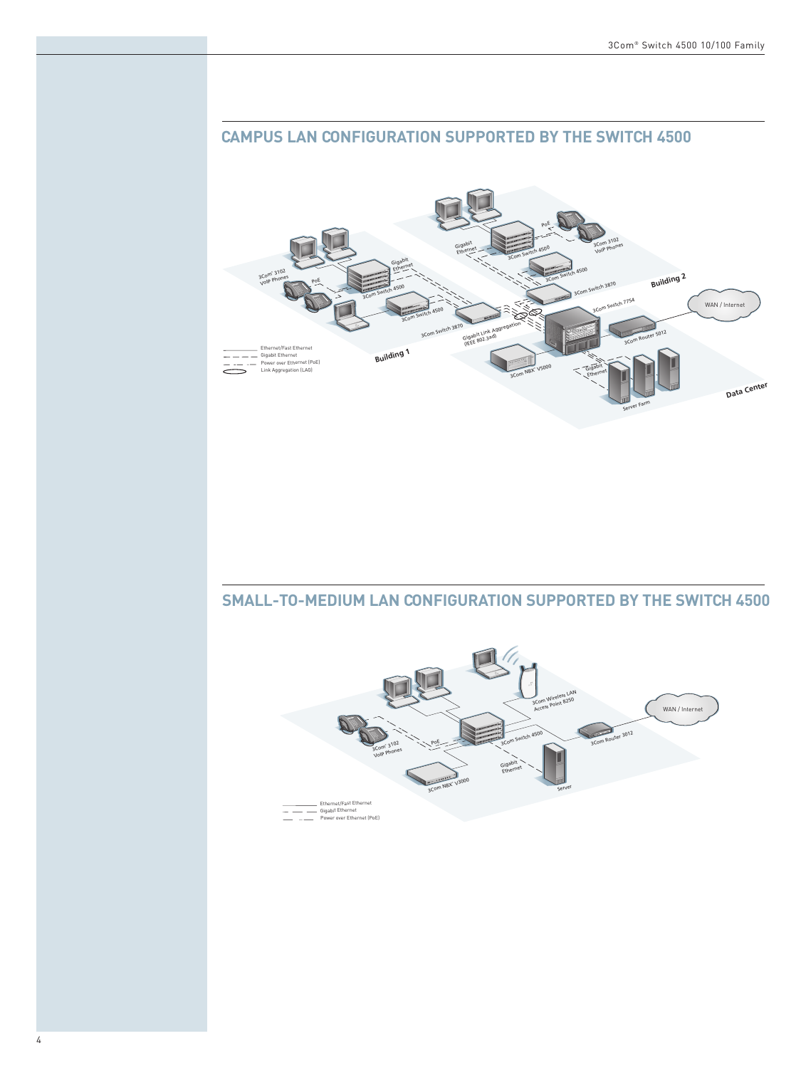# Building 2 1154 WAN / Inter Gigabit<br>(IEEE 80 Building 1 \_\_\_ Ethernet/Fast Ethernet<br>\_\_\_ Gigabit Ethernet<br>\_\_\_ Power over Ethernet (PoE)<br>Link Aggregation (LAG) Data Center

### **CAMPUS LAN CONFIGURATION SUPPORTED BY THE SWITCH 4500**

### **SMALL-TO-MEDIUM LAN CONFIGURATION SUPPORTED BY THE SWITCH 4500**

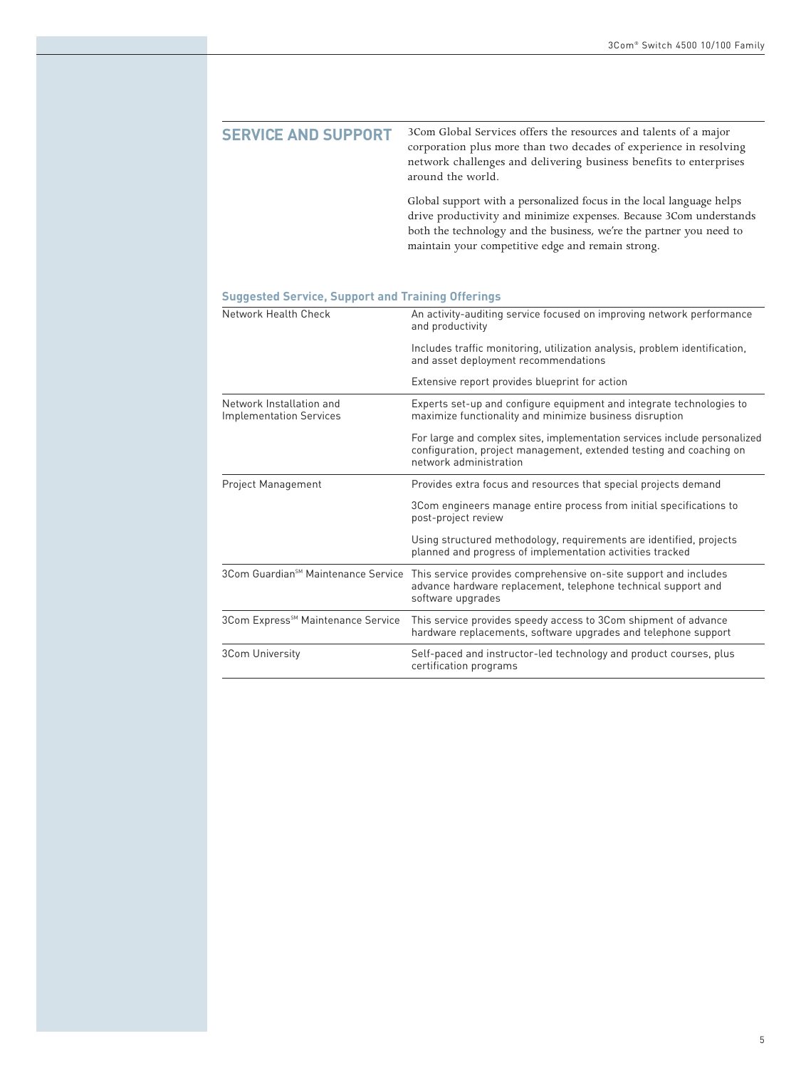| <b>SERVICE AND SUPPORT</b> | 3Com Global Services offers the resources and talents of a major<br>corporation plus more than two decades of experience in resolving<br>network challenges and delivering business benefits to enterprises<br>around the world.                                       |
|----------------------------|------------------------------------------------------------------------------------------------------------------------------------------------------------------------------------------------------------------------------------------------------------------------|
|                            | Global support with a personalized focus in the local language helps<br>drive productivity and minimize expenses. Because 3Com understands<br>both the technology and the business, we're the partner you need to<br>maintain your competitive edge and remain strong. |

**Suggested Service, Support and Training Offerings**

| Network Health Check                                       | An activity-auditing service focused on improving network performance<br>and productivity                                                                                  |  |
|------------------------------------------------------------|----------------------------------------------------------------------------------------------------------------------------------------------------------------------------|--|
|                                                            | Includes traffic monitoring, utilization analysis, problem identification,<br>and asset deployment recommendations                                                         |  |
|                                                            | Extensive report provides blueprint for action                                                                                                                             |  |
| Network Installation and<br><b>Implementation Services</b> | Experts set-up and configure equipment and integrate technologies to<br>maximize functionality and minimize business disruption                                            |  |
|                                                            | For large and complex sites, implementation services include personalized<br>configuration, project management, extended testing and coaching on<br>network administration |  |
| Project Management                                         | Provides extra focus and resources that special projects demand                                                                                                            |  |
|                                                            | 3Com engineers manage entire process from initial specifications to<br>post-project review                                                                                 |  |
|                                                            | Using structured methodology, requirements are identified, projects<br>planned and progress of implementation activities tracked                                           |  |
| 3Com Guardian <sup>sM</sup> Maintenance Service            | This service provides comprehensive on-site support and includes<br>advance hardware replacement, telephone technical support and<br>software upgrades                     |  |
| 3Com Express <sup>sM</sup> Maintenance Service             | This service provides speedy access to 3Com shipment of advance<br>hardware replacements, software upgrades and telephone support                                          |  |
| <b>3Com University</b>                                     | Self-paced and instructor-led technology and product courses, plus<br>certification programs                                                                               |  |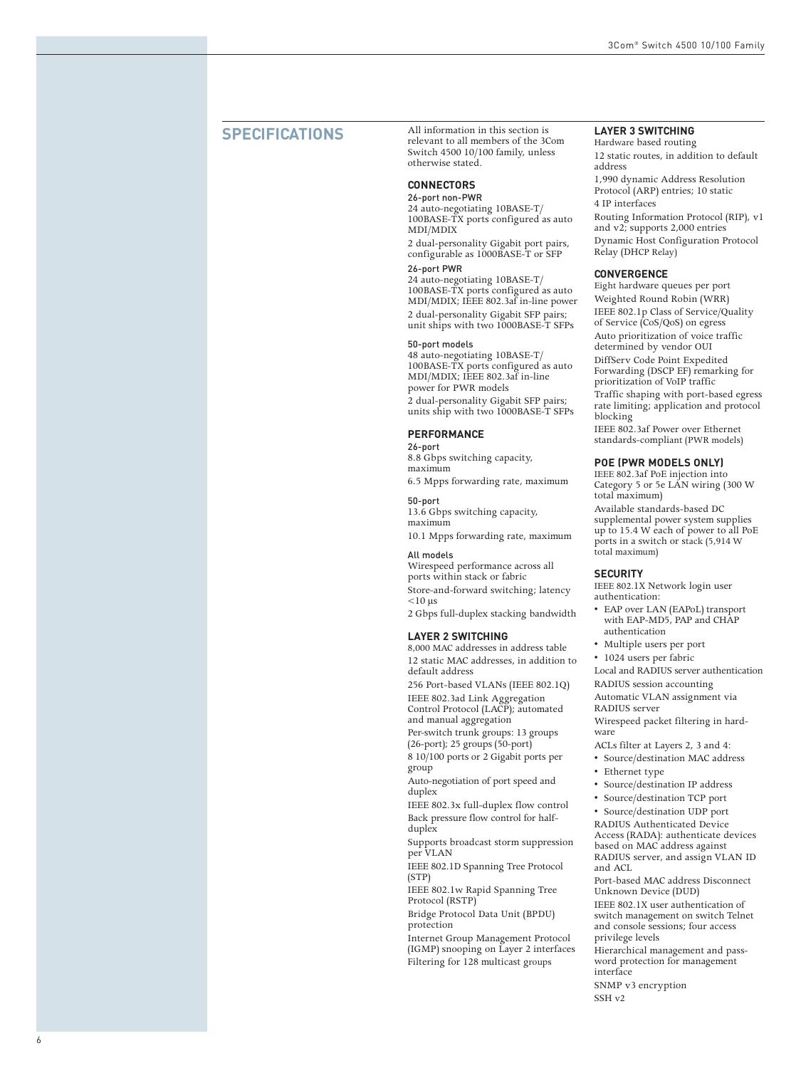### **SPECIFICATIONS**

All information in this section is relevant to all members of the 3Com Switch 4500 10/100 family, unless otherwise stated.

### **CONNECTORS**

26-port non-PWR 24 auto-negotiating 10BASE-T/ 100BASE-TX ports configured as auto MDI/MDIX

2 dual-personality Gigabit port pairs, configurable as 1000BASE-T or SFP

#### 26-port PWR

24 auto-negotiating 10BASE-T/ 100BASE-TX ports configured as auto MDI/MDIX; IEEE 802.3af in-line power 2 dual-personality Gigabit SFP pairs; unit ships with two 1000BASE-T SFPs

#### 50-port models

48 auto-negotiating 10BASE-T/ 100BASE-TX ports configured as auto MDI/MDIX; IEEE 802.3af in-line power for PWR models 2 dual-personality Gigabit SFP pairs; units ship with tw o 1000BASE-T SFPs

#### **PERFORMANCE**

26-port 8.8 Gbps switching capacity, maximum

6.5 Mpps forwarding rate, maximum

50-port 13.6 Gbps switching capacity, maximum

10.1 Mpps forwarding rate, maximum

### All models

Wirespeed performance across all ports within stack or fabric Store-and-forward switching; latency  $<$ 10 µs

2 Gbps full-duplex stacking bandwidth

#### **LAYER 2 SWITCHING**

8,000 MAC addresses in address table 12 static M AC addresses, in addition to default address

256 Port-based VLANs (IEEE 802.1Q) IEEE 802.3ad Link Agg regation Control Protocol (LACP); automated and manual aggregation

Per-switch trunk groups: 13 groups  $(26$ -port); 25 groups  $(50$ -port)

<sup>8</sup> 10/100 ports or 2 Gigabit ports per group

Auto-negotiation of port speed and duple x

IEEE 802.3x full-duplex flow control Back pressure flow control for halfduplex

Supports broadcast storm suppression per VLAN

IEEE 802.1D Spanning Tree Protocol (STP)

IEEE 802.1w Rapid Spanning Tree Protocol (RSTP)

Brid g e Protocol Data Unit (BPDU) protection

Internet Group Management Protocol (IGMP) snooping on Layer 2 interfaces Filtering for 128 multicast groups

#### **LAYER 3 SWITCHING**

Hardware based routing 12 static routes, in addition to default address 1,990 dynamic Address Resolution Protocol (ARP) entries; 10 static

4 IP interfaces Routing Information Protocol (RIP), v1 and v2; supports 2,000 entries

Dynamic Host Configuration Protocol Relay (DHCP Relay)

#### **CONVERGENCE**

Eight hardware queues per port Weighted Round Robin (WRR) IEEE 802.1p Class of Service/Quality of Service (CoS/QoS) on egress Auto prioritization of voice traffic determined by vendor OUI DiffServ Code Point Expedited Forwarding (DSCP EF) remarking for prioritization of VoIP traffic Traffic shaping with port-based egress

rate limiting; application and protocol blocking

IEEE 802.3af Power over Ethernet standards-compliant (PWR models)

#### **POE (PWR MODELS ONLY)**

IEEE 802.3af PoE injection into Category 5 or 5e LAN wiring (300 W total maximum)

Available standards-based DC supplemental power system supplies up to 15.4 W each of power to all PoE ports in a switch or stack (5,914 W total maximum)

#### **SECURITY**

IEEE 802.1X Network login user authentication:

- EAP over LAN (EAPoL) transport with EAP-MD5, PAP and CHAP authentication
- Multiple users per port
- 1024 users per fabric

Local and RADIUS server authentication RADIUS session accounting

Automatic VLAN assignment via RADIUS server Wirespeed packet filtering in hard-

ware ACLs filter at Layers 2, 3 and 4:

- Source/destination MAC address
- Ethernet type
- Source/destination IP address
- Source/destination TCP port
- Source/destination UDP port

RADIUS Authenticated Device Access (RADA): authenticate devices based on M A C address a gainst RADIUS server, and assign VLAN ID and ACL

Port-based MAC address Disconnect Unknown Device (DUD)

IEEE 802.1X user authentication of switch management on switch Telnet and console sessions; four access privilege levels

Hierarchical management and pass- word protection for management interface

SNMP v3 encryption SSH v2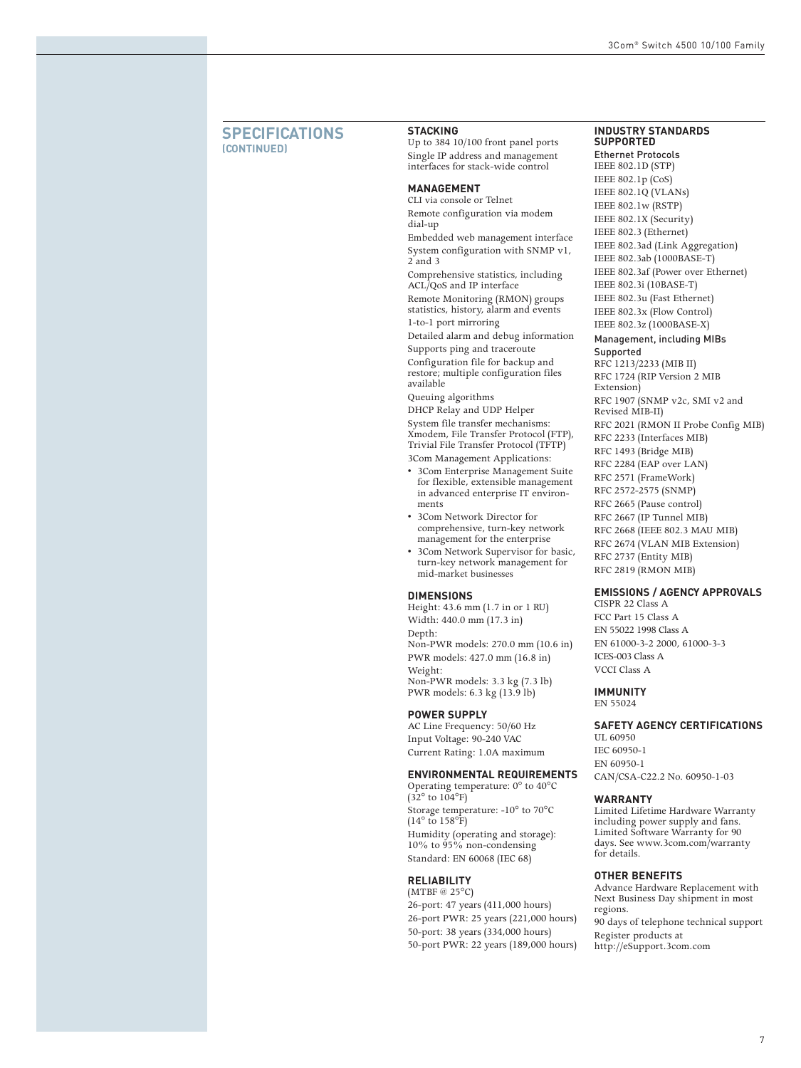#### **SPECIFICATIONS (CONTINUED)**

#### **STACKING**

Up to 384 10/100 front panel ports Single IP address and management interfaces for stack-wide control

#### **MANAGEMENT**

CLI via console or Telnet Remote configuration via modem dial-up

Embedded web management interface System configuration with SNMP v1, 2 and 3

Comprehensive statistics, including ACL/QoS and IP interface

Remote Monitoring (RMON) groups statistics, history, alarm and events

1-to-1 port mirroring Detailed alarm and debug information Supports ping and traceroute

Configuration file for backup and restore; multiple configuration files available

Queuing algorithms DHCP Relay and UDP Helper

System file transfer mechanisms: Xmodem, File Transfer Protocol (FTP), Trivial File Transfer Protocol (TFTP)

3Com Management Applications:

- 3Com Enterprise Management Suite for flexible, extensible management in advanced enterprise IT environments
- 3Com Network Director for comprehensive, turn-key network management for the enterprise
- 3Com Network Supervisor for basic, turn-key network management for mid-market businesses

#### **DIMENSIONS**

Height: 43.6 mm (1.7 in or 1 RU) Width: 440.0 mm (17.3 in) Depth: Non-PWR models: 270.0 mm (10.6 in) PWR models: 427.0 mm (16.8 in) Weight: Non-PWR models: 3.3 kg (7.3 lb) PWR models: 6.3 kg (13.9 lb)

#### **POWER SUPPLY**

AC Line Frequency: 50/60 Hz Input Voltage: 90-240 VAC Current Rating: 1.0A maximum

#### **ENVIRONMENTAL REQUIREMENTS**

Operating temperature: 0° to 40°C  $(32^{\circ}$  to  $104^{\circ}$ F) Storage temperature: -10° to 70°C  $(14^\circ \text{ to } 158^\circ \text{F})$ Humidity (operating and storage): 10% to 95% non-condensing Standard: EN 60068 (IEC 68)

#### **RELIABILITY**

(MTBF @ 25°C) 26-port: 47 years (411,000 hours) 26-port PWR: 25 years (221,000 hours) 50-port: 38 years (334,000 hours) 50-port PWR: 22 years (189,000 hours)

#### **INDUSTRY STANDARDS SUPPORTED**

Ethernet Protocols IEEE 802.1D (STP) IEEE 802.1p (CoS) IEEE 802.1Q (VLANs) IEEE 802.1w (RSTP) IEEE 802.1X (Security) IEEE 802.3 (Ethernet) IEEE 802.3ad (Link Aggregation) IEEE 802.3ab (1000BASE-T) IEEE 802.3af (Power over Ethernet) IEEE 802.3i (10BASE-T) IEEE 802.3u (Fast Ethernet) IEEE 802.3x (Flow Control) IEEE 802.3z (1000BASE-X) Management, including MIBs

Supported RFC 1213/2233 (MIB II) RFC 1724 (RIP Version 2 MIB Extension) RFC 1907 (SNMP v2c, SMI v2 and Revised MIB-II) RFC 2021 (RMON II Probe Config MIB) RFC 2233 (Interfaces MIB) RFC 1493 (Bridge MIB) RFC 2284 (EAP over LAN) RFC 2571 (FrameWork) RFC 2572-2575 (SNMP) RFC 2665 (Pause control) RFC 2667 (IP Tunnel MIB) RFC 2668 (IEEE 802.3 MAU MIB) RFC 2674 (VLAN MIB Extension) RFC 2737 (Entity MIB) RFC 2819 (RMON MIB)

#### **EMISSIONS / AGENCY APPROVALS**

CISPR 22 Class A FCC Part 15 Class A EN 55022 1998 Class A EN 61000-3-2 2000, 61000-3-3 ICES-003 Class A VCCI Class A

#### **IMMUNITY**

EN 55024

#### **SAFETY AGENCY CERTIFICATIONS**

UL 60950 IEC 60950-1 EN 60950-1 CAN/CSA-C22.2 No. 60950-1-03

#### **WARRANTY**

Limited Lifetime Hardware Warranty including power supply and fans. Limited Software Warranty for 90 days. See<www.3com.com/warranty> for details.

#### **OTHER BENEFITS**

Advance Hardware Replacement with Next Business Day shipment in most regions. 90 days of telephone technical support Register products at

<http://eSupport.3com.com>